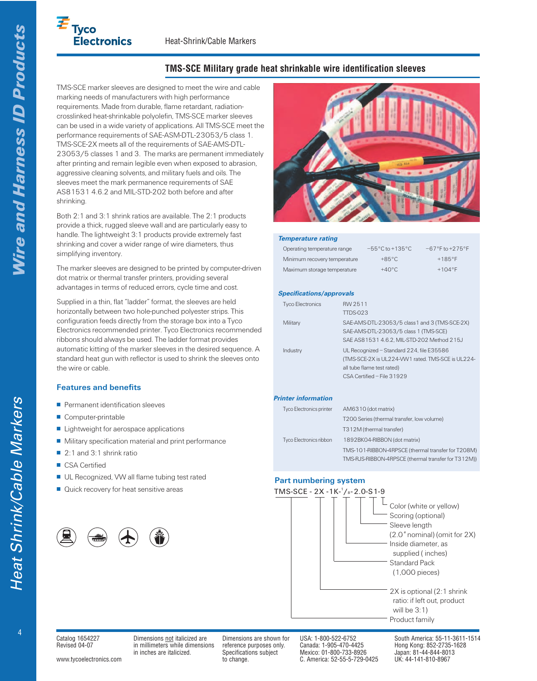# $E_{\text{Tyco}}$ **Electronics**

# **TMS-SCE Military grade heat shrinkable wire identification sleeves**

TMS-SCE marker sleeves are designed to meet the wire and cable marking needs of manufacturers with high performance requirements. Made from durable, flame retardant, radiationcrosslinked heat-shrinkable polyolefin, TMS-SCE marker sleeves can be used in a wide variety of applications. All TMS-SCE meet the performance requirements of SAE-ASM-DTL-23053/5 class 1. TMS-SCE-2X meets all of the requirements of SAE-AMS-DTL-23053/5 classes 1 and 3. The marks are permanent immediately after printing and remain legible even when exposed to abrasion, aggressive cleaning solvents, and military fuels and oils. The sleeves meet the mark permanence requirements of SAE AS81531 4.6.2 and MIL-STD-202 both before and after shrinking.

Both 2:1 and 3:1 shrink ratios are available. The 2:1 products provide a thick, rugged sleeve wall and are particularly easy to handle. The lightweight 3:1 products provide extremely fast shrinking and cover a wider range of wire diameters, thus simplifying inventory.

The marker sleeves are designed to be printed by computer-driven dot matrix or thermal transfer printers, providing several advantages in terms of reduced errors, cycle time and cost.

Supplied in a thin, flat "ladder" format, the sleeves are held horizontally between two hole-punched polyester strips. This configuration feeds directly from the storage box into a Tyco Electronics recommended printer. Tyco Electronics recommended ribbons should always be used. The ladder format provides automatic kitting of the marker sleeves in the desired sequence. A standard heat gun with reflector is used to shrink the sleeves onto the wire or cable.

## **Features and benefits**

- Permanent identification sleeves
- Computer-printable
- Lightweight for aerospace applications
- Military specification material and print performance
- 2:1 and 3:1 shrink ratio
- CSA Certified
- UL Recognized, VW all flame tubing test rated
- $\blacksquare$  Quick recovery for heat sensitive areas





#### **Temperature rating**

| Operating temperature range  | $-55^{\circ}$ C to $+135^{\circ}$ C | $-67^{\circ}$ F to $+275^{\circ}$ F |
|------------------------------|-------------------------------------|-------------------------------------|
| Minimum recovery temperature | $+85^{\circ}$ C                     | $+185^{\circ}F$                     |
| Maximum storage temperature  | $+40^{\circ}$ C                     | $+104^{\circ}F$                     |

#### **Specifications/approvals**

| <b>Tyco Electronics</b> | RW 2511<br><b>TTDS-023</b>                                                                                                                                 |
|-------------------------|------------------------------------------------------------------------------------------------------------------------------------------------------------|
| Military                | SAE-AMS-DTL-23053/5 class1 and 3 (TMS-SCE-2X)<br>SAE-AMS-DTL-23053/5 class 1 (TMS-SCE)<br>SAE AS81531 4.6.2, MIL-STD-202 Method 215J                       |
| Industry                | UL Recognized - Standard 224, file E35586<br>(TMS-SCE-2X is UL224-VW1 rated, TMS-SCE is UL224-<br>all tube flame test rated)<br>CSA Certified - File 31929 |

#### **Printer information**

| <b>Tyco Electronics printer</b> | AM6310 (dot matrix)                                 |
|---------------------------------|-----------------------------------------------------|
|                                 | T200 Series (thermal transfer, low volume)          |
|                                 | T312M (thermal transfer)                            |
| Tyco Electronics ribbon         | 1892BK04-RIBBON (dot matrix)                        |
|                                 | TMS-101-RIBBON-4RPSCE (thermal transfer for T208M)  |
|                                 | TMS-RJS-RIBBON-4RPSCE (thermal transfer for T312M)) |

### **Part numbering system**



ire and Harness ID Products

Catalog 1654227 Dimensions not italicized are Dimensions are shown for USA: 1-800-522-6752 South America: 55-11-3611-1514 Revised 04-07 in millimeters while dimensions reference purposes only. Canada: 1-905-470-4425 Hong Kong: 852-2735-1628<br>in inches are italicized.

www.tycoelectronics.com to change. C. America: 52-55-5-729-0425 UK: 44-141-810-8967